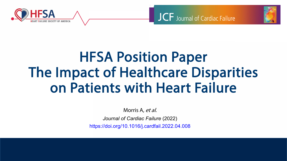





# HFSA Position Paper The Impact of Healthcare Disparities on Patients with Heart Failure

Morris A, et al.

*Journal of Cardiac Failure* (2022)

https://doi.org/10.1016/j.cardfail.2022.04.008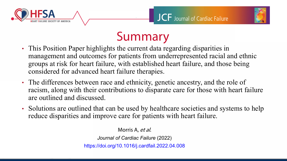





# Summary

- This Position Paper highlights the current data regarding disparities in management and outcomes for patients from underrepresented racial and ethnic groups at risk for heart failure, with established heart failure, and those being considered for advanced heart failure therapies.
- The differences between race and ethnicity, genetic ancestry, and the role of racism, along with their contributions to disparate care for those with heart failure are outlined and discussed.
- Solutions are outlined that can be used by healthcare societies and systems to help reduce disparities and improve care for patients with heart failure.

Morris A, et al. *Journal of Cardiac Failure* (2022) https://doi.org/10.1016/j.cardfail.2022.04.008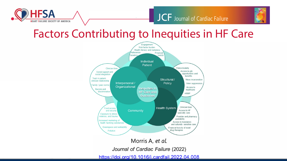

#### JCF Journal of Cardiac Failure



#### **Factors Contributing to Inequities in HF Care**



Morris A, et al.

Journal of Cardiac Failure (2022)

https://doi.org/10.1016/j.cardfail.2022.04.008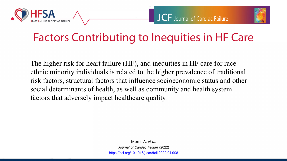





## Factors Contributing to Inequities in HF Care

The higher risk for heart failure (HF), and inequities in HF care for raceethnic minority individuals is related to the higher prevalence of traditional risk factors, structural factors that influence socioeconomic status and other social determinants of health, as well as community and health system factors that adversely impact healthcare quality.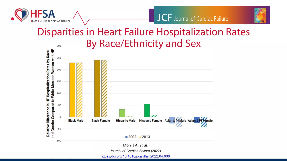



#### Disparities in Heart Failure Hospitalization Rates By Race/Ethnicity and Sex300



https://doi.org/10.1016/j.cardfail.2022.04.008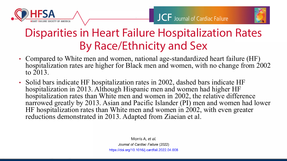





## Disparities in Heart Failure Hospitalization Rates By Race/Ethnicity and Sex

- Compared to White men and women, national age-standardized heart failure (HF) hospitalization rates are higher for Black men and women, with no change from 2002 to 2013.
- Solid bars indicate HF hospitalization rates in 2002, dashed bars indicate HF hospitalization in 2013. Although Hispanic men and women had higher HF hospitalization rates than White men and women in 2002, the relative difference narrowed greatly by 2013. Asian and Pacific Islander (PI) men and women had lower HF hospitalization rates than White men and women in 2002, with even greater reductions demonstrated in 2013. Adapted from Ziaeian et al.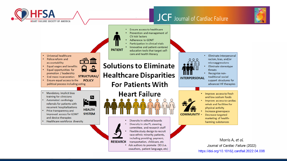

#### **JCF** Journal of Cardiac Failure



**RESEARCH** 

Diversity in site PI, steering committee, and research staff Flexible study design to recruit race-ethnic minority patients, including providing payment,

transportation, childcare, etc • Ask authors to promote DEI (i.e.

coauthors, patient language, etc)

Eliminate interpersonal racism, bias, and/or microaggressions Eliminate stereotype threats Recognize nontraditional social support structures for advanced HF therapies • Improve access to fresh and low sodium foods Improve access to cardiac rehab and facilities for physical activity Increase greenspace Decrease targeted marketing of healthharming substances

> Morris A, et al. Journal of Cardiac Failure (2022) https://doi.org/10.1016/j.cardfail.2022.04.008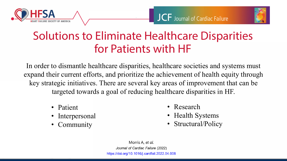





### Solutions to Eliminate Healthcare Disparities for Patients with HF

In order to dismantle healthcare disparities, healthcare societies and systems must expand their current efforts, and prioritize the achievement of health equity through key strategic initiatives. There are several key areas of improvement that can be targeted towards a goal of reducing healthcare disparities in HF.

- Patient
- **Interpersonal**
- **Community**
- Research
- Health Systems
- Structural/Policy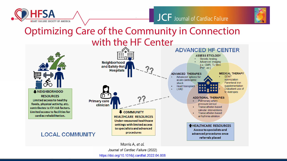





#### Optimizing Care of the Community in Connection with the HF Center



Journal of Cardiac Failure (2022) https://doi.org/10.1016/j.cardfail.2022.04.008